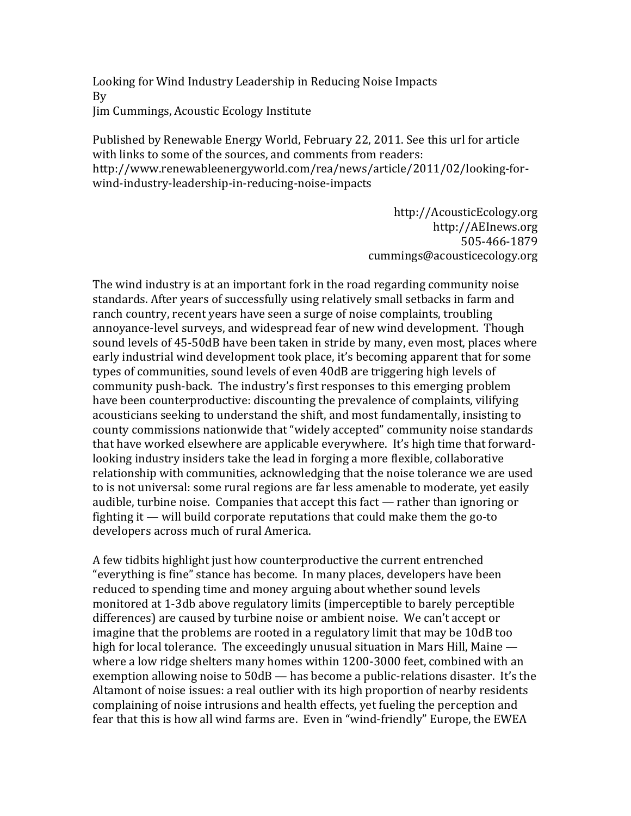Looking for Wind Industry Leadership in Reducing Noise Impacts By Jim Cummings, Acoustic Ecology Institute

Published by Renewable Energy World, February 22, 2011. See this url for article with links to some of the sources, and comments from readers: http://www.renewableenergyworld.com/rea/news/article/2011/02/looking-forwind-industry-leadership-in-reducing-noise-impacts

> http://AcousticEcology.org http://AEInews.org 505-466-1879 cummings@acousticecology.org

The wind industry is at an important fork in the road regarding community noise standards. After years of successfully using relatively small setbacks in farm and ranch country, recent years have seen a surge of noise complaints, troubling annoyance-level surveys, and widespread fear of new wind development. Though sound levels of 45-50dB have been taken in stride by many, even most, places where early industrial wind development took place, it's becoming apparent that for some types of communities, sound levels of even 40dB are triggering high levels of community push-back. The industry's first responses to this emerging problem have been counterproductive: discounting the prevalence of complaints, vilifying acousticians' seeking to understand the shift, and most fundamentally, insisting to county commissions nationwide that "widely accepted" community noise standards that have worked elsewhere are applicable everywhere. It's high time that forwardlooking industry insiders take the lead in forging a more flexible, collaborative relationship with communities, acknowledging that the noise tolerance we are used to is not universal: some rural regions are far less amenable to moderate, vet easily audible, turbine noise. Companies that accept this fact  $-$  rather than ignoring or fighting it  $\frac{d}{dx}$  will build corporate reputations that could make them the go-to developers across much of rural America.

A few tidbits highlight just how counterproductive the current entrenched "everything is fine" stance has become. In many places, developers have been reduced to spending time and money arguing about whether sound levels monitored at 1-3db above regulatory limits (imperceptible to barely perceptible differences) are caused by turbine noise or ambient noise. We can't accept or imagine that the problems are rooted in a regulatory limit that may be 10dB too high for local tolerance. The exceedingly unusual situation in Mars Hill, Maine  $$ where a low ridge shelters many homes within 1200-3000 feet, combined with an exemption allowing noise to  $50dB$  — has become a public-relations disaster. It's the Altamont of noise issues: a real outlier with its high proportion of nearby residents complaining of noise intrusions and health effects, yet fueling the perception and fear that this is how all wind farms are. Even in "wind-friendly" Europe, the EWEA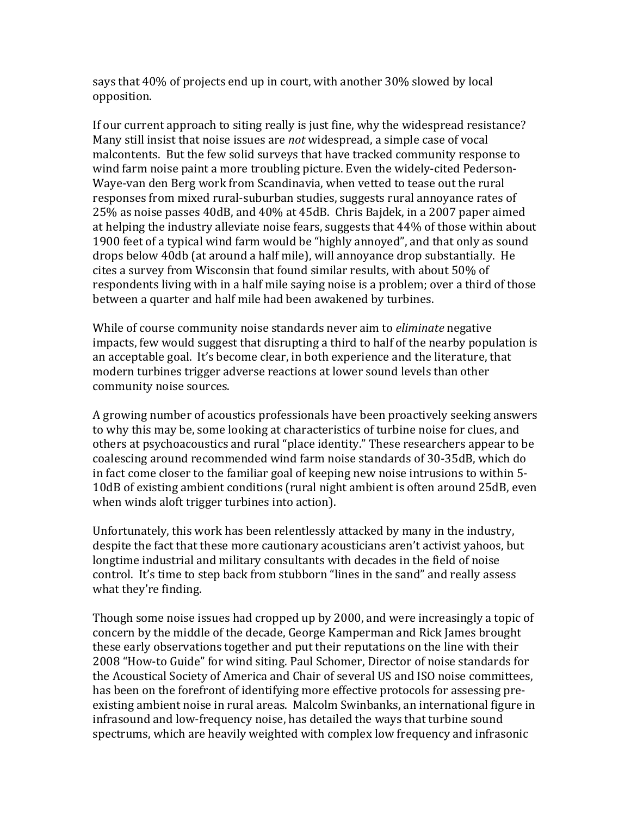says that 40% of projects end up in court, with another 30% slowed by local opposition.

If our current approach to siting really is just fine, why the widespread resistance? Many still insist that noise issues are *not* widespread, a simple case of vocal malcontents. But the few solid surveys that have tracked community response to wind farm noise paint a more troubling picture. Even the widely-cited Pederson-Waye-yan den Berg work from Scandinavia, when yetted to tease out the rural responses from mixed rural-suburban studies, suggests rural annoyance rates of 25% as noise passes 40dB, and 40% at 45dB. Chris Bajdek, in a 2007 paper aimed at helping the industry alleviate noise fears, suggests that 44% of those within about 1900' feet of a typical wind farm would be "highly annoyed", and that only as sound drops below 40db (at around a half mile), will annoyance drop substantially. He cites a survey from Wisconsin that found similar results, with about 50% of respondents living with in a half mile saying noise is a problem; over a third of those between a quarter and half mile had been awakened by turbines.

While of course community noise standards never aim to *eliminate* negative impacts, few would suggest that disrupting a third to half of the nearby population is an acceptable goal. It's become clear, in both experience and the literature, that modern turbines trigger adverse reactions at lower sound levels than other community noise sources.

A growing number of acoustics professionals have been proactively seeking answers' to why this may be, some looking at characteristics of turbine noise for clues, and others at psychoacoustics and rural "place identity." These researchers appear to be coalescing around recommended wind farm noise standards of 30-35dB, which do in fact come closer to the familiar goal of keeping new noise intrusions to within 5-10dB of existing ambient conditions (rural night ambient is often around 25dB, even when winds aloft trigger turbines into action).

Unfortunately, this work has been relentlessly attacked by many in the industry, despite the fact that these more cautionary acousticians aren't activist yahoos, but longtime industrial and military consultants with decades in the field of noise control. It's time to step back from stubborn "lines in the sand" and really assess what they're finding.

Though some noise issues had cropped up by 2000, and were increasingly a topic of concern by the middle of the decade, George Kamperman and Rick James brought these early observations together and put their reputations on the line with their 2008 "How-to Guide" for wind siting. Paul Schomer, Director of noise standards for the Acoustical Society of America and Chair of several US and ISO noise committees, has been on the forefront of identifying more effective protocols for assessing preexisting ambient noise in rural areas. Malcolm Swinbanks, an international figure in infrasound and low-frequency noise, has detailed the ways that turbine sound spectrums, which are heavily weighted with complex low frequency and infrasonic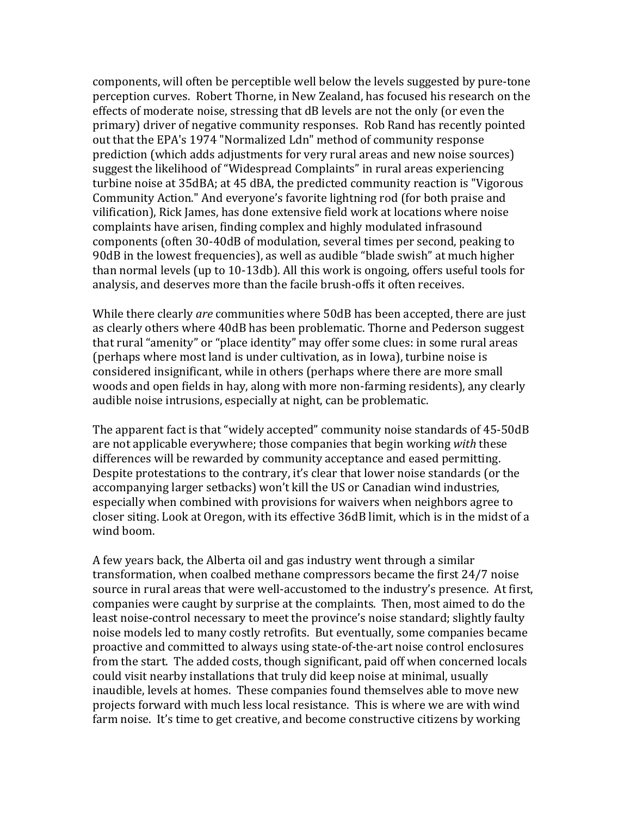components, will often be perceptible well below the levels suggested by pure-tone perception curves. Robert Thorne, in New Zealand, has focused his research on the effects of moderate noise, stressing that dB levels are not the only (or even the primary) driver of negative community responses. Rob Rand has recently pointed out that the EPA's 1974 "Normalized Ldn" method of community response prediction (which adds adjustments for very rural areas and new noise sources) suggest the likelihood of "Widespread Complaints" in rural areas experiencing turbine noise at 35dBA; at 45 dBA, the predicted community reaction is "Vigorous' Community Action." And everyone's favorite lightning rod (for both praise and vilification), Rick James, has done extensive field work at locations where noise complaints have arisen, finding complex and highly modulated infrasound components (often 30-40dB of modulation, several times per second, peaking to 90dB in the lowest frequencies), as well as audible "blade swish" at much higher than normal levels (up to 10-13db). All this work is ongoing, offers useful tools for analysis, and deserves more than the facile brush-offs it often receives.

While there clearly *are* communities where 50dB has been accepted, there are just as clearly others where 40dB has been problematic. Thorne and Pederson suggest that rural "amenity" or "place identity" may offer some clues: in some rural areas (perhaps where most land is under cultivation, as in Iowa), turbine noise is considered'insignificant,'while'in'others'(perhaps'where'there'are'more'small' woods and open fields in hay, along with more non-farming residents), any clearly audible noise intrusions, especially at night, can be problematic.

The apparent fact is that "widely accepted" community noise standards of 45-50dB are'not'applicable'everywhere;'those'companies'that'begin'working'*with*'these' differences will be rewarded by community acceptance and eased permitting. Despite protestations to the contrary, it's clear that lower noise standards (or the accompanying larger setbacks) won't kill the US or Canadian wind industries, especially when combined with provisions for waivers when neighbors agree to closer'siting.'Look'at'Oregon,'with'its'effective'36dB'limit,'which'is'in'the'midst'of'a' wind boom.

A few years back, the Alberta oil and gas industry went through a similar transformation, when coalbed methane compressors became the first 24/7 noise source in rural areas that were well-accustomed to the industry's presence. At first, companies were caught by surprise at the complaints. Then, most aimed to do the least noise-control necessary to meet the province's noise standard; slightly faulty noise models led to many costly retrofits. But eventually, some companies became proactive and committed to always using state-of-the-art noise control enclosures from the start. The added costs, though significant, paid off when concerned locals could visit nearby installations that truly did keep noise at minimal, usually inaudible, levels at homes. These companies found themselves able to move new projects forward with much less local resistance. This is where we are with wind farm noise. It's time to get creative, and become constructive citizens by working